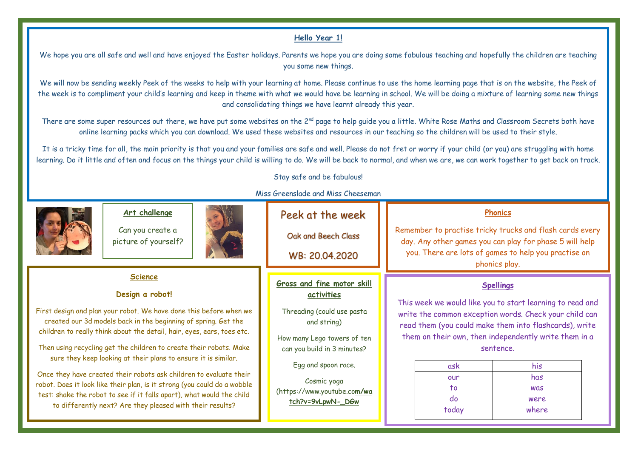## **Hello Year 1!**

We hope you are all safe and well and have enjoyed the Easter holidays. Parents we hope you are doing some fabulous teaching and hopefully the children are teaching you some new things.

We will now be sending weekly Peek of the weeks to help with your learning at home. Please continue to use the home learning page that is on the website, the Peek of the week is to compliment your child's learning and keep in theme with what we would have be learning in school. We will be doing a mixture of learning some new things and consolidating things we have learnt already this year.

There are some super resources out there, we have put some websites on the 2<sup>nd</sup> page to help quide you a little. White Rose Maths and Classroom Secrets both have online learning packs which you can download. We used these websites and resources in our teaching so the children will be used to their style.

It is a tricky time for all, the main priority is that you and your families are safe and well. Please do not fret or worry if your child (or you) are struggling with home learning. Do it little and often and focus on the things your child is willing to do. We will be back to normal, and when we are, we can work together to get back on track.

Stay safe and be fabulous!



|                                                                                                                                                                                                                                                                                                                                                                                                                                                                                                                                                                                                                                                                                     | Art challenge<br>Can you create a<br>picture of yourself? |                                                                                                                                                                                                                                               | Peek at the week<br>Oak and Beech Class<br>WB: 20.04.2020                                                                                                                                                                                                                                                                                                     |  | <b>Phonics</b><br>Remember to practise tricky trucks and flash cards every<br>day. Any other games you can play for phase 5 will help<br>you. There are lots of games to help you practise on<br>phonics play. |  |
|-------------------------------------------------------------------------------------------------------------------------------------------------------------------------------------------------------------------------------------------------------------------------------------------------------------------------------------------------------------------------------------------------------------------------------------------------------------------------------------------------------------------------------------------------------------------------------------------------------------------------------------------------------------------------------------|-----------------------------------------------------------|-----------------------------------------------------------------------------------------------------------------------------------------------------------------------------------------------------------------------------------------------|---------------------------------------------------------------------------------------------------------------------------------------------------------------------------------------------------------------------------------------------------------------------------------------------------------------------------------------------------------------|--|----------------------------------------------------------------------------------------------------------------------------------------------------------------------------------------------------------------|--|
| <b>Science</b><br>Design a robot!<br>First design and plan your robot. We have done this before when we<br>created our 3d models back in the beginning of spring. Get the<br>children to really think about the detail, hair, eyes, ears, toes etc.<br>Then using recycling get the children to create their robots. Make<br>sure they keep looking at their plans to ensure it is similar.<br>Once they have created their robots ask children to evaluate their<br>robot. Does it look like their plan, is it strong (you could do a wobble<br>test: shake the robot to see if it falls apart), what would the child<br>to differently next? Are they pleased with their results? |                                                           | Gross and fine motor skill<br>activities<br>Threading (could use pasta<br>and string)<br>How many Lego towers of ten<br>can you build in 3 minutes?<br>Egg and spoon race.<br>Cosmic yoga<br>(https://www.youtube.com/wa<br>tch?v=9vLpwN-_DGw | <b>Spellings</b><br>This week we would like you to start learning to read and<br>write the common exception words. Check your child can<br>read them (you could make them into flashcards), write<br>them on their own, then independently write them in a<br>sentence.<br>his<br>ask<br>has<br>our<br>$\overline{10}$<br>was<br>do<br>were<br>today<br>where |  |                                                                                                                                                                                                                |  |